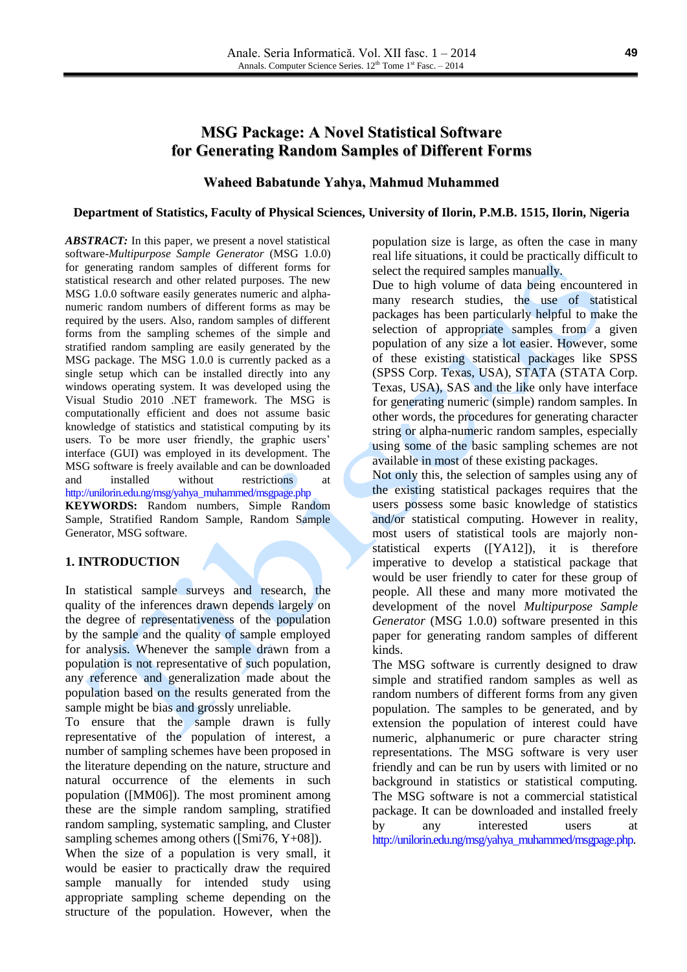# **MSG Package: A Novel Statistical Software for Generating Random Samples of Different Forms**

#### **Waheed Babatunde Yahya, Mahmud Muhammed**

#### **Department of Statistics, Faculty of Physical Sciences, University of Ilorin, P.M.B. 1515, Ilorin, Nigeria**

*ABSTRACT:* In this paper, we present a novel statistical software-*Multipurpose Sample Generator* (MSG 1.0.0) for generating random samples of different forms for statistical research and other related purposes. The new MSG 1.0.0 software easily generates numeric and alphanumeric random numbers of different forms as may be required by the users. Also, random samples of different forms from the sampling schemes of the simple and stratified random sampling are easily generated by the MSG package. The MSG 1.0.0 is currently packed as a single setup which can be installed directly into any windows operating system. It was developed using the Visual Studio 2010 .NET framework. The MSG is computationally efficient and does not assume basic knowledge of statistics and statistical computing by its users. To be more user friendly, the graphic users' interface (GUI) was employed in its development. The MSG software is freely available and can be downloaded and installed without restrictions at [http://unilorin.edu.ng/msg/yahya\\_muhammed/msgpage.php](http://unilorin.edu.ng/msg/yahya_muhammed/msgpage.php) **KEYWORDS:** Random numbers, Simple Random Sample, Stratified Random Sample, Random Sample Generator, MSG software.

### **1. INTRODUCTION**

In statistical sample surveys and research, the quality of the inferences drawn depends largely on the degree of representativeness of the population by the sample and the quality of sample employed for analysis. Whenever the sample drawn from a population is not representative of such population, any reference and generalization made about the population based on the results generated from the sample might be bias and grossly unreliable.

To ensure that the sample drawn is fully representative of the population of interest, a number of sampling schemes have been proposed in the literature depending on the nature, structure and natural occurrence of the elements in such population ([MM06]). The most prominent among these are the simple random sampling, stratified random sampling, systematic sampling, and Cluster sampling schemes among others ([Smi76, Y+08]).

When the size of a population is very small, it would be easier to practically draw the required sample manually for intended study using appropriate sampling scheme depending on the structure of the population. However, when the

population size is large, as often the case in many real life situations, it could be practically difficult to select the required samples manually.

Due to high volume of data being encountered in many research studies, the use of statistical packages has been particularly helpful to make the selection of appropriate samples from a given population of any size a lot easier. However, some of these existing statistical packages like SPSS (SPSS Corp. Texas, USA), STATA (STATA Corp. Texas, USA), SAS and the like only have interface for generating numeric (simple) random samples. In other words, the procedures for generating character string or alpha-numeric random samples, especially using some of the basic sampling schemes are not available in most of these existing packages.

Not only this, the selection of samples using any of the existing statistical packages requires that the users possess some basic knowledge of statistics and/or statistical computing. However in reality, most users of statistical tools are majorly nonstatistical experts ([YA12]), it is therefore imperative to develop a statistical package that would be user friendly to cater for these group of people. All these and many more motivated the development of the novel *Multipurpose Sample Generator* (MSG 1.0.0) software presented in this paper for generating random samples of different kinds.

The MSG software is currently designed to draw simple and stratified random samples as well as random numbers of different forms from any given population. The samples to be generated, and by extension the population of interest could have numeric, alphanumeric or pure character string representations. The MSG software is very user friendly and can be run by users with limited or no background in statistics or statistical computing. The MSG software is not a commercial statistical package. It can be downloaded and installed freely by any interested users at [http://unilorin.edu.ng/msg/yahya\\_muhammed/msgpage.php.](http://unilorin.edu.ng/msg/yahya_muhammed/msgpage.php)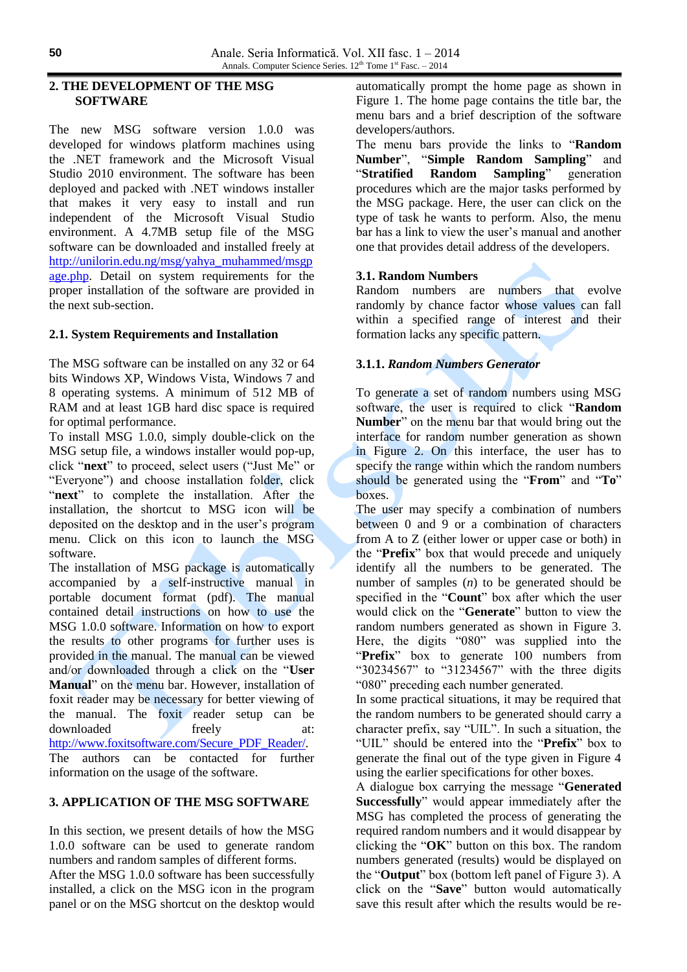#### **2. THE DEVELOPMENT OF THE MSG SOFTWARE**

The new MSG software version 1.0.0 was developed for windows platform machines using the .NET framework and the Microsoft Visual Studio 2010 environment. The software has been deployed and packed with .NET windows installer that makes it very easy to install and run independent of the Microsoft Visual Studio environment. A 4.7MB setup file of the MSG software can be downloaded and installed freely at [http://unilorin.edu.ng/msg/yahya\\_muhammed/msgp](http://unilorin.edu.ng/msg/yahya_muhammed/msgpage.php) [age.php.](http://unilorin.edu.ng/msg/yahya_muhammed/msgpage.php) Detail on system requirements for the proper installation of the software are provided in the next sub-section.

### **2.1. System Requirements and Installation**

The MSG software can be installed on any 32 or 64 bits Windows XP, Windows Vista, Windows 7 and 8 operating systems. A minimum of 512 MB of RAM and at least 1GB hard disc space is required for optimal performance.

To install MSG 1.0.0, simply double-click on the MSG setup file, a windows installer would pop-up, click "**next**" to proceed, select users ("Just Me" or "Everyone") and choose installation folder, click "**next**" to complete the installation. After the installation, the shortcut to MSG icon will be deposited on the desktop and in the user's program menu. Click on this icon to launch the MSG software.

The installation of MSG package is automatically accompanied by a self-instructive manual in portable document format (pdf). The manual contained detail instructions on how to use the MSG 1.0.0 software. Information on how to export the results to other programs for further uses is provided in the manual. The manual can be viewed and/or downloaded through a click on the "**User Manual**" on the menu bar. However, installation of foxit reader may be necessary for better viewing of the manual. The foxit reader setup can be downloaded freely at: [http://www.foxitsoftware.com/Secure\\_PDF\\_Reader/.](http://www.foxitsoftware.com/Secure_PDF_Reader/) The authors can be contacted for further information on the usage of the software.

## **3. APPLICATION OF THE MSG SOFTWARE**

In this section, we present details of how the MSG 1.0.0 software can be used to generate random numbers and random samples of different forms. After the MSG 1.0.0 software has been successfully installed, a click on the MSG icon in the program panel or on the MSG shortcut on the desktop would

automatically prompt the home page as shown in Figure 1. The home page contains the title bar, the menu bars and a brief description of the software developers/authors.

The menu bars provide the links to "**Random Number**", "**Simple Random Sampling**" and "**Stratified Random Sampling**" generation procedures which are the major tasks performed by the MSG package. Here, the user can click on the type of task he wants to perform. Also, the menu bar has a link to view the user's manual and another one that provides detail address of the developers.

### **3.1. Random Numbers**

Random numbers are numbers that evolve randomly by chance factor whose values can fall within a specified range of interest and their formation lacks any specific pattern.

## **3.1.1.** *Random Numbers Generator*

To generate a set of random numbers using MSG software, the user is required to click "**Random Number**" on the menu bar that would bring out the interface for random number generation as shown in Figure 2. On this interface, the user has to specify the range within which the random numbers should be generated using the "**From**" and "**To**" boxes.

The user may specify a combination of numbers between 0 and 9 or a combination of characters from A to Z (either lower or upper case or both) in the "**Prefix**" box that would precede and uniquely identify all the numbers to be generated. The number of samples (*n*) to be generated should be specified in the "**Count**" box after which the user would click on the "**Generate**" button to view the random numbers generated as shown in Figure 3. Here, the digits "080" was supplied into the "**Prefix**" box to generate 100 numbers from "30234567" to "31234567" with the three digits "080" preceding each number generated.

In some practical situations, it may be required that the random numbers to be generated should carry a character prefix, say "UIL". In such a situation, the "UIL" should be entered into the "**Prefix**" box to generate the final out of the type given in Figure 4 using the earlier specifications for other boxes.

A dialogue box carrying the message "**Generated Successfully**" would appear immediately after the MSG has completed the process of generating the required random numbers and it would disappear by clicking the "**OK**" button on this box. The random numbers generated (results) would be displayed on the "**Output**" box (bottom left panel of Figure 3). A click on the "**Save**" button would automatically save this result after which the results would be re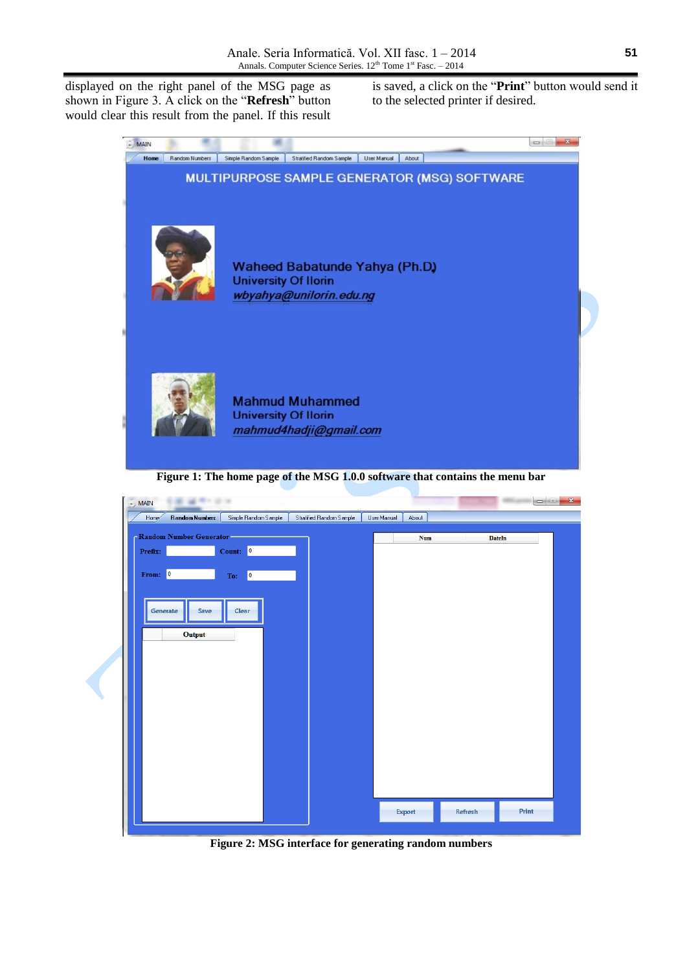displayed on the right panel of the MSG page as shown in Figure 3. A click on the "**Refresh**" button would clear this result from the panel. If this result

is saved, a click on the "**Print**" button would send it to the selected printer if desired.



**Figure 2: MSG interface for generating random numbers**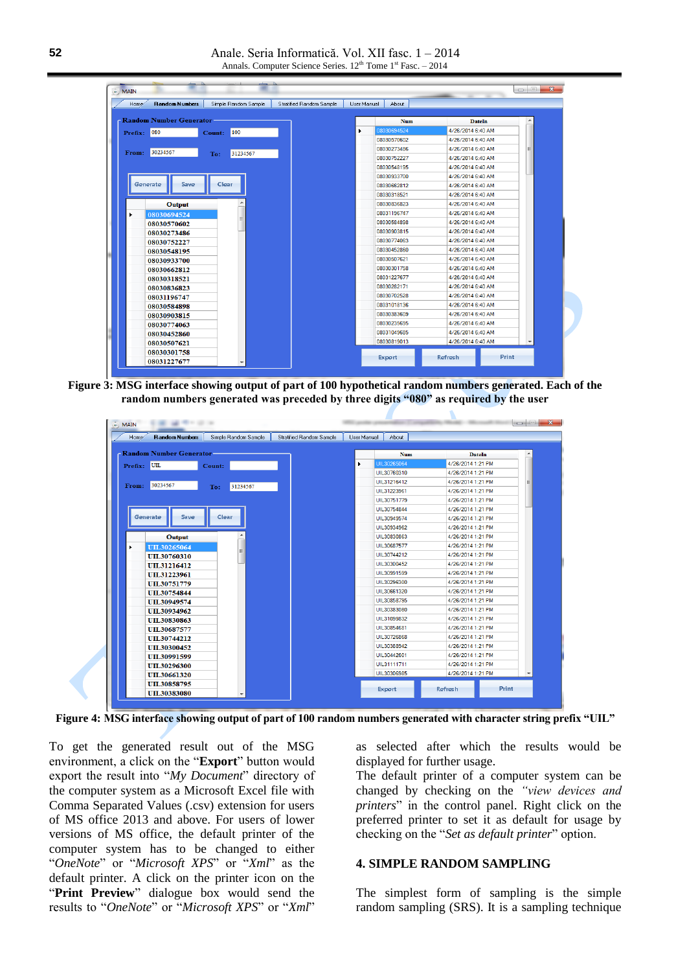| <b>Random Numbers</b><br>Home | Simple Random Sample | <b>Stratified Random Sample</b> | <b>User Manual</b><br>About |                   |  |
|-------------------------------|----------------------|---------------------------------|-----------------------------|-------------------|--|
| - Random Number Generator     |                      |                                 | <b>Num</b>                  | <b>DateIn</b>     |  |
| 080<br>Prefix:                | 100<br>Count:        | ٠                               | 08030694524                 | 4/26/2014 6:40 AM |  |
|                               |                      |                                 | 08030570602                 | 4/26/2014 6:40 AM |  |
| 30234567<br>From:             | 31234567             |                                 | 08030273486                 | 4/26/2014 6:40 AM |  |
|                               | To:                  |                                 | 08030752227                 | 4/26/2014 6:40 AM |  |
|                               |                      |                                 | 08030548195                 | 4/26/2014 6:40 AM |  |
|                               |                      |                                 | 08030933700                 | 4/26/2014 6:40 AM |  |
| Generate<br>Save              | Clear                |                                 | 08030662812                 | 4/26/2014 6:40 AM |  |
|                               |                      |                                 | 08030318521                 | 4/26/2014 6:40 AM |  |
| <b>Output</b>                 |                      |                                 | 08030836823                 | 4/26/2014 6:40 AM |  |
| 08030694524                   |                      |                                 | 08031196747                 | 4/26/2014 6:40 AM |  |
| 08030570602                   |                      |                                 | 08030584898                 | 4/26/2014 6:40 AM |  |
| 08030273486                   |                      |                                 | 08030903815                 | 4/26/2014 6:40 AM |  |
| 08030752227                   |                      |                                 | 08030774063                 | 4/26/2014 6:40 AM |  |
| 08030548195                   |                      |                                 | 08030452860                 | 4/26/2014 6:40 AM |  |
| 08030933700                   |                      |                                 | 08030507621                 | 4/26/2014 6:40 AM |  |
| 08030662812                   |                      |                                 | 08030301758                 | 4/26/2014 6:40 AM |  |
| 08030318521                   |                      |                                 | 08031227677                 | 4/26/2014 6:40 AM |  |
| 08030836823                   |                      |                                 | 08030282171                 | 4/26/2014 6:40 AM |  |
| 08031196747                   |                      |                                 | 08030702528                 | 4/26/2014 6:40 AM |  |
| 08030584898                   |                      |                                 | 08031018136                 | 4/26/2014 6:40 AM |  |
| 08030903815                   |                      |                                 | 08030383609                 | 4/26/2014 6:40 AM |  |
| 08030774063                   |                      |                                 | 08030235695                 | 4/26/2014 6:40 AM |  |
| 08030452860                   |                      |                                 | 08031049685                 | 4/26/2014 6:40 AM |  |
| 08030507621                   |                      |                                 | 08030819013                 | 4/26/2014 6:40 AM |  |
| 08030301758                   |                      |                                 |                             |                   |  |

**Figure 3: MSG interface showing output of part of 100 hypothetical random numbers generated. Each of the random numbers generated was preceded by three digits "080" as required by the user**

| <b>Random Numbers</b><br>Home  | Simple Random Sample | Stratified Random Sample | User Manual<br>About |                   |       |
|--------------------------------|----------------------|--------------------------|----------------------|-------------------|-------|
| <b>Random Number Generator</b> |                      |                          | <b>Num</b>           | <b>DateIn</b>     |       |
| UIL<br>Prefix:                 | Count:               |                          | UIL30265064<br>٠     | 4/26/2014 1:21 PM |       |
|                                |                      |                          | UIL30760310          | 4/26/2014 1:21 PM |       |
| 30234567<br>From:              | 31234567             |                          | UIL31216412          | 4/26/2014 1:21 PM |       |
|                                | To:                  |                          | UIL31223961          | 4/26/2014 1:21 PM |       |
|                                |                      |                          | UIL30751779          | 4/26/2014 1:21 PM |       |
|                                |                      |                          | UIL30754844          | 4/26/2014 1:21 PM |       |
| Generate                       | Clear<br>Save        |                          | UIL30949574          | 4/26/2014 1:21 PM |       |
|                                |                      |                          | UIL30934962          | 4/26/2014 1:21 PM |       |
| Output                         | ۰                    |                          | UIL30830863          | 4/26/2014 1:21 PM |       |
| UIL30265064<br>٠               |                      |                          | UIL30687577          | 4/26/2014 1:21 PM |       |
| UIL30760310                    | 티                    |                          | UII 30744212         | 4/26/2014 1:21 PM |       |
| UIL31216412                    |                      |                          | UII 30300452         | 4/26/2014 1:21 PM |       |
| UII.31223961                   |                      |                          | UIL30991599          | 4/26/2014 1:21 PM |       |
| UII.30751779                   |                      |                          | UIL30296300          | 4/26/2014 1:21 PM |       |
| UII.30754844                   |                      |                          | UIL30661320          | 4/26/2014 1:21 PM |       |
| UII.30949574                   |                      |                          | UIL30858795          | 4/26/2014 1:21 PM |       |
| UIL30934962                    |                      |                          | UIL30383080          | 4/26/2014 1:21 PM |       |
| UIL30830863                    |                      |                          | UIL31099832          | 4/26/2014 1:21 PM |       |
| UII.30687577                   |                      |                          | UIL30854681          | 4/26/2014 1:21 PM |       |
| UIL30744212                    |                      |                          | UIL30726868          | 4/26/2014 1:21 PM |       |
| UIL30300452                    |                      |                          | UIL30388942          | 4/26/2014 1:21 PM |       |
| UIL30991599                    |                      |                          | UIL30442601          | 4/26/2014 1:21 PM |       |
| UIL30296300                    |                      |                          | UIL31111711          | 4/26/2014 1:21 PM |       |
| UIL30661320                    |                      |                          | UIL30306985          | 4/26/2014 1:21 PM |       |
| UIL30858795                    |                      |                          |                      | <b>Refresh</b>    | Print |

**Figure 4: MSG interface showing output of part of 100 random numbers generated with character string prefix "UIL"**

To get the generated result out of the MSG environment, a click on the "**Export**" button would export the result into "*My Document*" directory of the computer system as a Microsoft Excel file with Comma Separated Values (.csv) extension for users of MS office 2013 and above. For users of lower versions of MS office, the default printer of the computer system has to be changed to either "*OneNote*" or "*Microsoft XPS*" or "*Xml*" as the default printer. A click on the printer icon on the "**Print Preview**" dialogue box would send the results to "*OneNote*" or "*Microsoft XPS*" or "*Xml*"

as selected after which the results would be displayed for further usage.

The default printer of a computer system can be changed by checking on the *"view devices and printers*" in the control panel. Right click on the preferred printer to set it as default for usage by checking on the "*Set as default printer*" option.

#### **4. SIMPLE RANDOM SAMPLING**

The simplest form of sampling is the simple random sampling (SRS). It is a sampling technique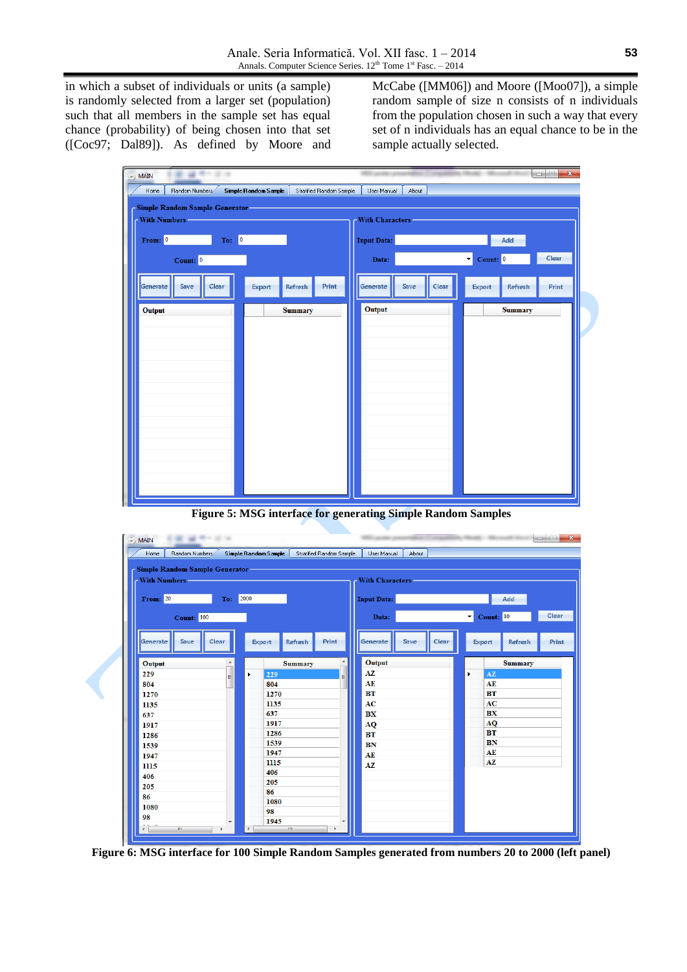in which a subset of individuals or units (a sample) is randomly selected from a larger set (population) such that all members in the sample set has equal chance (probability) of being chosen into that set ([Coc97; Dal89]). As defined by Moore and McCabe ([MM06]) and Moore ([Moo07]), a simple random sample of size n consists of n individuals from the population chosen in such a way that every set of n individuals has an equal chance to be in the sample actually selected.

| Random Numbers<br>Simple Random Sample<br>Home<br>Stratified Random Sample<br>User Manual<br>About<br>- Simple Random Sample Generator-<br>- With Characters -<br>- With Numbers -<br>To: 0<br>From: 0<br><b>Input Data:</b><br>Add<br>Clear<br>$\mathbf{r}$<br>Count: 0<br>Count: 0<br>Data:<br>Print<br>Clear<br>Generate<br>Save<br>Clear<br>Print<br>Save<br>Refresh<br>Export<br>Refresh<br>Generate<br>Export<br>Output<br><b>Summary</b><br><b>Summary</b><br>Output | MAIN |  |  | $=$<br>$\mathbf{x}$ |  |  |  |  |  |  |
|-----------------------------------------------------------------------------------------------------------------------------------------------------------------------------------------------------------------------------------------------------------------------------------------------------------------------------------------------------------------------------------------------------------------------------------------------------------------------------|------|--|--|---------------------|--|--|--|--|--|--|
|                                                                                                                                                                                                                                                                                                                                                                                                                                                                             |      |  |  |                     |  |  |  |  |  |  |
|                                                                                                                                                                                                                                                                                                                                                                                                                                                                             |      |  |  |                     |  |  |  |  |  |  |
|                                                                                                                                                                                                                                                                                                                                                                                                                                                                             |      |  |  |                     |  |  |  |  |  |  |
|                                                                                                                                                                                                                                                                                                                                                                                                                                                                             |      |  |  |                     |  |  |  |  |  |  |
|                                                                                                                                                                                                                                                                                                                                                                                                                                                                             |      |  |  |                     |  |  |  |  |  |  |
|                                                                                                                                                                                                                                                                                                                                                                                                                                                                             |      |  |  |                     |  |  |  |  |  |  |
|                                                                                                                                                                                                                                                                                                                                                                                                                                                                             |      |  |  |                     |  |  |  |  |  |  |
|                                                                                                                                                                                                                                                                                                                                                                                                                                                                             |      |  |  |                     |  |  |  |  |  |  |
|                                                                                                                                                                                                                                                                                                                                                                                                                                                                             |      |  |  |                     |  |  |  |  |  |  |
|                                                                                                                                                                                                                                                                                                                                                                                                                                                                             |      |  |  |                     |  |  |  |  |  |  |
|                                                                                                                                                                                                                                                                                                                                                                                                                                                                             |      |  |  |                     |  |  |  |  |  |  |
|                                                                                                                                                                                                                                                                                                                                                                                                                                                                             |      |  |  |                     |  |  |  |  |  |  |
|                                                                                                                                                                                                                                                                                                                                                                                                                                                                             |      |  |  |                     |  |  |  |  |  |  |
|                                                                                                                                                                                                                                                                                                                                                                                                                                                                             |      |  |  |                     |  |  |  |  |  |  |
|                                                                                                                                                                                                                                                                                                                                                                                                                                                                             |      |  |  |                     |  |  |  |  |  |  |
|                                                                                                                                                                                                                                                                                                                                                                                                                                                                             |      |  |  |                     |  |  |  |  |  |  |
|                                                                                                                                                                                                                                                                                                                                                                                                                                                                             |      |  |  |                     |  |  |  |  |  |  |
|                                                                                                                                                                                                                                                                                                                                                                                                                                                                             |      |  |  |                     |  |  |  |  |  |  |

**Figure 5: MSG interface for generating Simple Random Samples**



**Figure 6: MSG interface for 100 Simple Random Samples generated from numbers 20 to 2000 (left panel)**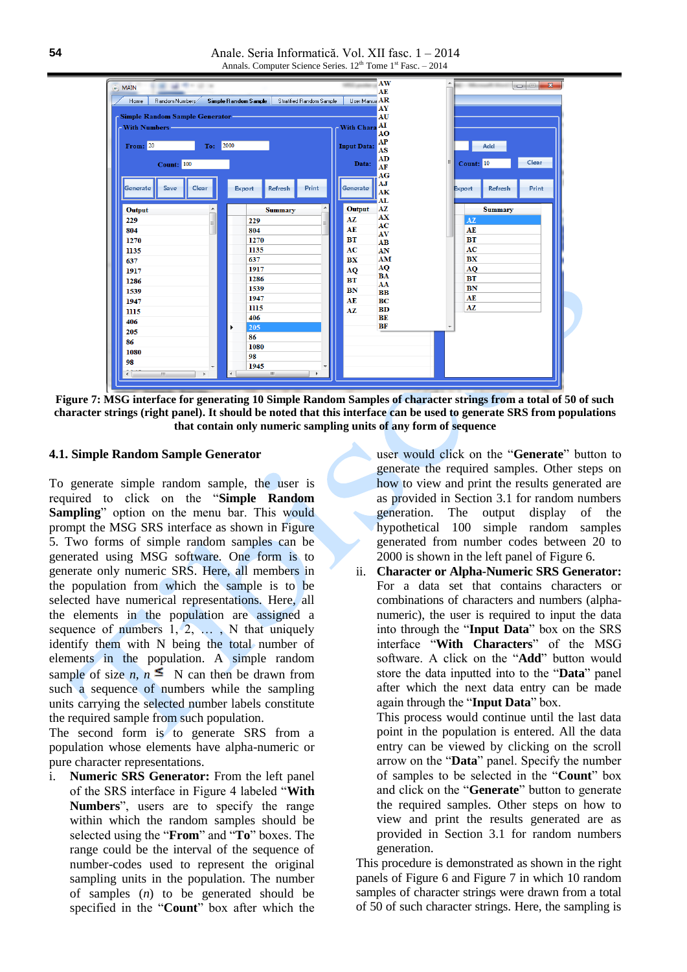

**Figure 7: MSG interface for generating 10 Simple Random Samples of character strings from a total of 50 of such character strings (right panel). It should be noted that this interface can be used to generate SRS from populations that contain only numeric sampling units of any form of sequence**

#### **4.1. Simple Random Sample Generator**

To generate simple random sample, the user is required to click on the "**Simple Random Sampling**" option on the menu bar. This would prompt the MSG SRS interface as shown in Figure 5. Two forms of simple random samples can be generated using MSG software. One form is to generate only numeric SRS. Here, all members in the population from which the sample is to be selected have numerical representations. Here, all the elements in the population are assigned a sequence of numbers 1, 2, ..., N that uniquely identify them with N being the total number of elements in the population. A simple random sample of size *n*,  $n \leq N$  can then be drawn from such a sequence of numbers while the sampling units carrying the selected number labels constitute the required sample from such population.

The second form is to generate SRS from a population whose elements have alpha-numeric or pure character representations.

i. **Numeric SRS Generator:** From the left panel of the SRS interface in Figure 4 labeled "**With Numbers**", users are to specify the range within which the random samples should be selected using the "**From**" and "**To**" boxes. The range could be the interval of the sequence of number-codes used to represent the original sampling units in the population. The number of samples (*n*) to be generated should be specified in the "**Count**" box after which the

user would click on the "**Generate**" button to generate the required samples. Other steps on how to view and print the results generated are as provided in Section 3.1 for random numbers generation. The output display of the hypothetical 100 simple random samples generated from number codes between 20 to 2000 is shown in the left panel of Figure 6.

ii. **Character or Alpha-Numeric SRS Generator:** For a data set that contains characters or combinations of characters and numbers (alphanumeric), the user is required to input the data into through the "**Input Data**" box on the SRS interface "**With Characters**" of the MSG software. A click on the "**Add**" button would store the data inputted into to the "**Data**" panel after which the next data entry can be made again through the "**Input Data**" box.

This process would continue until the last data point in the population is entered. All the data entry can be viewed by clicking on the scroll arrow on the "**Data**" panel. Specify the number of samples to be selected in the "**Count**" box and click on the "**Generate**" button to generate the required samples. Other steps on how to view and print the results generated are as provided in Section 3.1 for random numbers generation.

This procedure is demonstrated as shown in the right panels of Figure 6 and Figure 7 in which 10 random samples of character strings were drawn from a total of 50 of such character strings. Here, the sampling is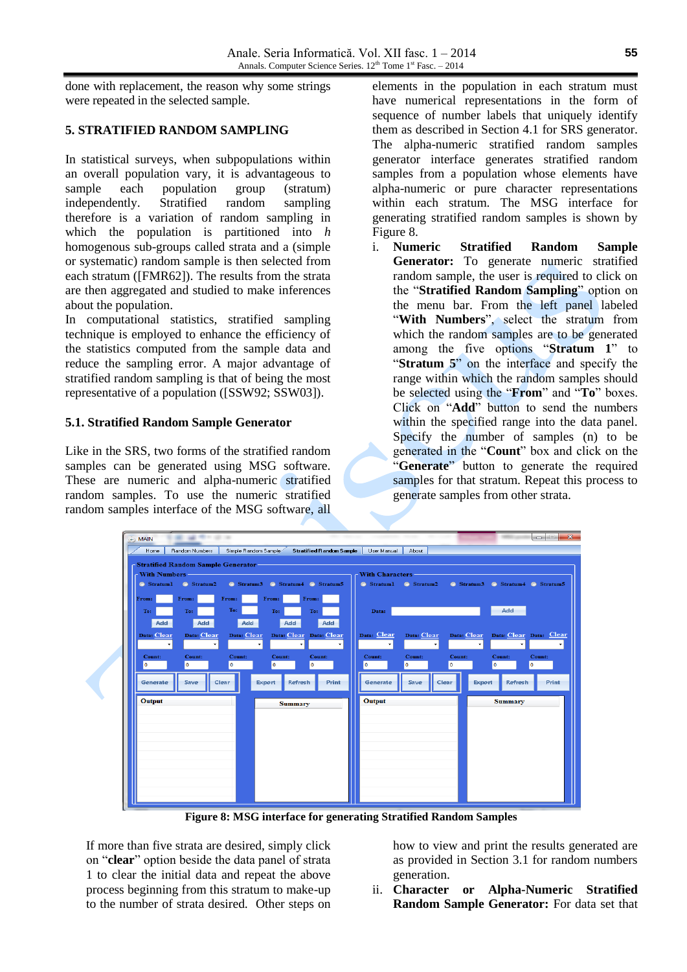done with replacement, the reason why some strings were repeated in the selected sample.

### **5. STRATIFIED RANDOM SAMPLING**

In statistical surveys, when subpopulations within an overall population vary, it is advantageous to sample each population group (stratum) independently. Stratified random sampling therefore is a variation of random sampling in which the population is partitioned into *h* homogenous sub-groups called strata and a (simple or systematic) random sample is then selected from each stratum ([FMR62]). The results from the strata are then aggregated and studied to make inferences about the population.

In computational statistics, stratified sampling technique is employed to enhance the efficiency of the statistics computed from the sample data and reduce the sampling error. A major advantage of stratified random sampling is that of being the most representative of a population ([SSW92; SSW03]).

#### **5.1. Stratified Random Sample Generator**

Like in the SRS, two forms of the stratified random samples can be generated using MSG software. These are numeric and alpha-numeric stratified random samples. To use the numeric stratified random samples interface of the MSG software, all

elements in the population in each stratum must have numerical representations in the form of sequence of number labels that uniquely identify them as described in Section 4.1 for SRS generator. The alpha-numeric stratified random samples generator interface generates stratified random samples from a population whose elements have alpha-numeric or pure character representations within each stratum. The MSG interface for generating stratified random samples is shown by Figure 8.

i. **Numeric Stratified Random Sample Generator:** To generate numeric stratified random sample, the user is required to click on the "**Stratified Random Sampling**" option on the menu bar. From the left panel labeled "**With Numbers**", select the stratum from which the random samples are to be generated among the five options "**Stratum 1**" to "**Stratum 5**" on the interface and specify the range within which the random samples should be selected using the "**From**" and "**To**" boxes. Click on "**Add**" button to send the numbers within the specified range into the data panel. Specify the number of samples (n) to be generated in the "**Count**" box and click on the "**Generate**" button to generate the required samples for that stratum. Repeat this process to generate samples from other strata.



**Figure 8: MSG interface for generating Stratified Random Samples**

If more than five strata are desired, simply click on "**clear**" option beside the data panel of strata 1 to clear the initial data and repeat the above process beginning from this stratum to make-up to the number of strata desired. Other steps on how to view and print the results generated are as provided in Section 3.1 for random numbers generation.

ii. **Character or Alpha-Numeric Stratified Random Sample Generator:** For data set that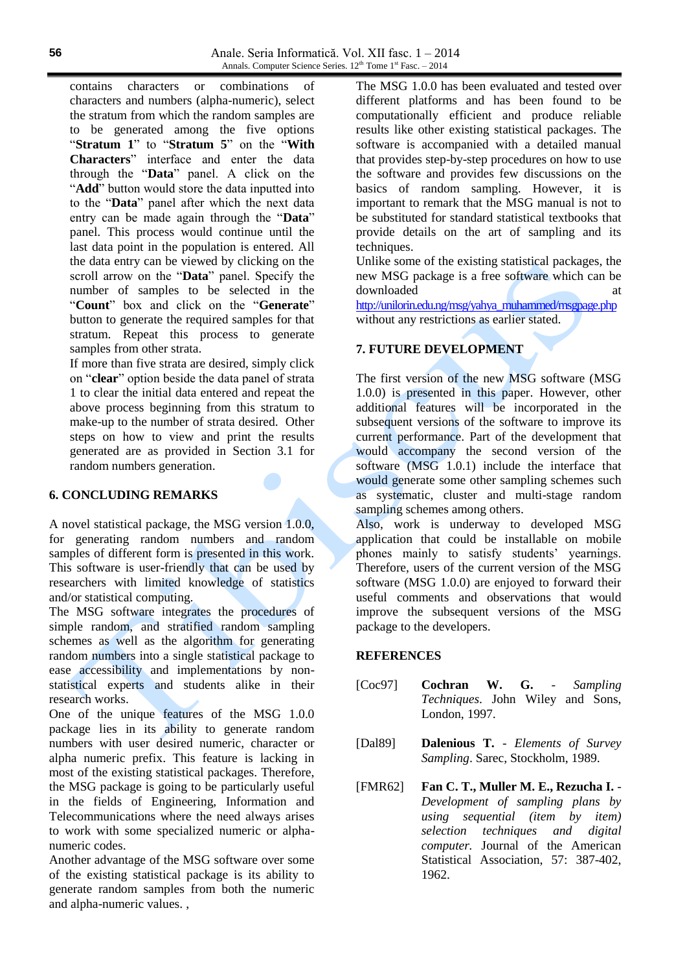contains characters or combinations of characters and numbers (alpha-numeric), select the stratum from which the random samples are to be generated among the five options "**Stratum 1**" to "**Stratum 5**" on the "**With Characters**" interface and enter the data through the "**Data**" panel. A click on the "**Add**" button would store the data inputted into to the "**Data**" panel after which the next data entry can be made again through the "**Data**" panel. This process would continue until the last data point in the population is entered. All the data entry can be viewed by clicking on the scroll arrow on the "**Data**" panel. Specify the number of samples to be selected in the "**Count**" box and click on the "**Generate**" button to generate the required samples for that stratum. Repeat this process to generate samples from other strata.

If more than five strata are desired, simply click on "**clear**" option beside the data panel of strata 1 to clear the initial data entered and repeat the above process beginning from this stratum to make-up to the number of strata desired. Other steps on how to view and print the results generated are as provided in Section 3.1 for random numbers generation.

### **6. CONCLUDING REMARKS**

A novel statistical package, the MSG version 1.0.0, for generating random numbers and random samples of different form is presented in this work. This software is user-friendly that can be used by researchers with limited knowledge of statistics and/or statistical computing.

The MSG software integrates the procedures of simple random, and stratified random sampling schemes as well as the algorithm for generating random numbers into a single statistical package to ease accessibility and implementations by nonstatistical experts and students alike in their research works.

One of the unique features of the MSG 1.0.0 package lies in its ability to generate random numbers with user desired numeric, character or alpha numeric prefix. This feature is lacking in most of the existing statistical packages. Therefore, the MSG package is going to be particularly useful in the fields of Engineering, Information and Telecommunications where the need always arises to work with some specialized numeric or alphanumeric codes.

Another advantage of the MSG software over some of the existing statistical package is its ability to generate random samples from both the numeric and alpha-numeric values. ,

The MSG 1.0.0 has been evaluated and tested over different platforms and has been found to be computationally efficient and produce reliable results like other existing statistical packages. The software is accompanied with a detailed manual that provides step-by-step procedures on how to use the software and provides few discussions on the basics of random sampling. However, it is important to remark that the MSG manual is not to be substituted for standard statistical textbooks that provide details on the art of sampling and its techniques.

Unlike some of the existing statistical packages, the new MSG package is a free software which can be downloaded at a state of  $\sim$  at a state of  $\sim$  at a state of  $\sim$  at a state of  $\sim$  at a state of  $\sim$  at a state of  $\sim$  at a state of  $\sim$  at a state of  $\sim$  at a state of  $\sim$  at a state of  $\sim$  at a state of  $\sim$  at [http://unilorin.edu.ng/msg/yahya\\_muhammed/msgpage.php](http://unilorin.edu.ng/msg/yahya_muhammed/msgpage.php) without any restrictions as earlier stated.

## **7. FUTURE DEVELOPMENT**

The first version of the new MSG software (MSG 1.0.0) is presented in this paper. However, other additional features will be incorporated in the subsequent versions of the software to improve its current performance. Part of the development that would accompany the second version of the software (MSG 1.0.1) include the interface that would generate some other sampling schemes such as systematic, cluster and multi-stage random sampling schemes among others.

Also, work is underway to developed MSG application that could be installable on mobile phones mainly to satisfy students' yearnings. Therefore, users of the current version of the MSG software (MSG 1.0.0) are enjoyed to forward their useful comments and observations that would improve the subsequent versions of the MSG package to the developers.

## **REFERENCES**

- [Coc97] **Cochran W. G.** *Sampling Techniques*. John Wiley and Sons, London, 1997.
- [Dal89] **Dalenious T.** *Elements of Survey Sampling*. Sarec, Stockholm, 1989.
- [FMR62] **Fan C. T., Muller M. E., Rezucha I.** *Development of sampling plans by using sequential (item by item) selection techniques and digital computer.* Journal of the American Statistical Association, 57: 387-402, 1962.